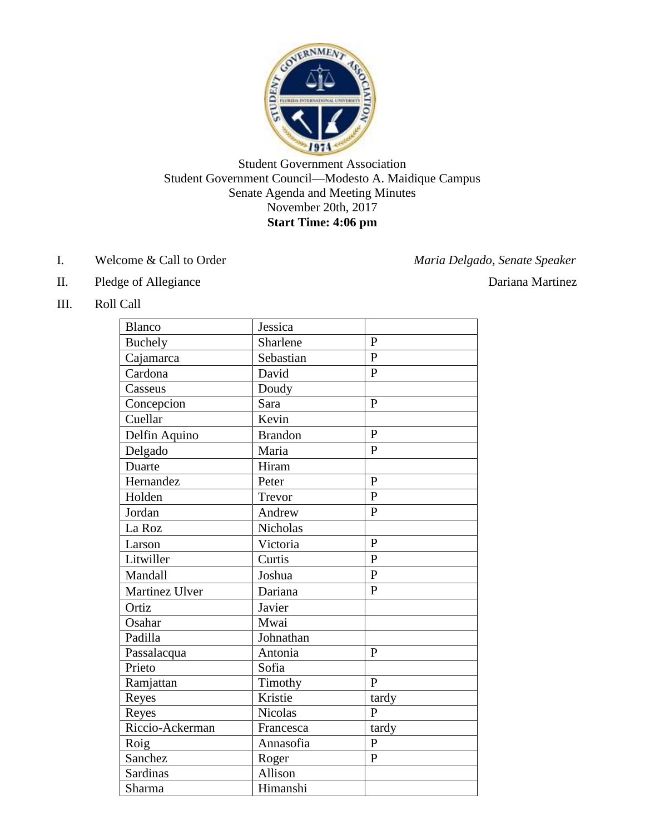

Student Government Association Student Government Council—Modesto A. Maidique Campus Senate Agenda and Meeting Minutes November 20th, 2017 **Start Time: 4:06 pm**

I. Welcome & Call to Order *Maria Delgado, Senate Speaker*

- II. Pledge of Allegiance Dariana Martinez
	-

III. Roll Call

| <b>Blanco</b>   | Jessica        |                |
|-----------------|----------------|----------------|
| <b>Buchely</b>  | Sharlene       | $\overline{P}$ |
| Cajamarca       | Sebastian      | $\mathbf{P}$   |
| Cardona         | David          | $\overline{P}$ |
| Casseus         | Doudy          |                |
| Concepcion      | Sara           | $\overline{P}$ |
| Cuellar         | Kevin          |                |
| Delfin Aquino   | <b>Brandon</b> | $\mathbf{P}$   |
| Delgado         | Maria          | $\overline{P}$ |
| Duarte          | Hiram          |                |
| Hernandez       | Peter          | $\overline{P}$ |
| Holden          | Trevor         | $\overline{P}$ |
| Jordan          | Andrew         | $\mathbf{P}$   |
| La Roz          | Nicholas       |                |
| Larson          | Victoria       | $\overline{P}$ |
| Litwiller       | Curtis         | $\overline{P}$ |
| Mandall         | Joshua         | $\mathbf{P}$   |
| Martinez Ulver  | Dariana        | $\overline{P}$ |
| Ortiz           | Javier         |                |
| Osahar          | Mwai           |                |
| Padilla         | Johnathan      |                |
| Passalacqua     | Antonia        | P              |
| Prieto          | Sofia          |                |
| Ramjattan       | Timothy        | $\overline{P}$ |
| Reyes           | Kristie        | tardy          |
| Reyes           | <b>Nicolas</b> | $\overline{P}$ |
| Riccio-Ackerman | Francesca      | tardy          |
| Roig            | Annasofia      | $\overline{P}$ |
| Sanchez         | Roger          | $\overline{P}$ |
| Sardinas        | Allison        |                |
| Sharma          | Himanshi       |                |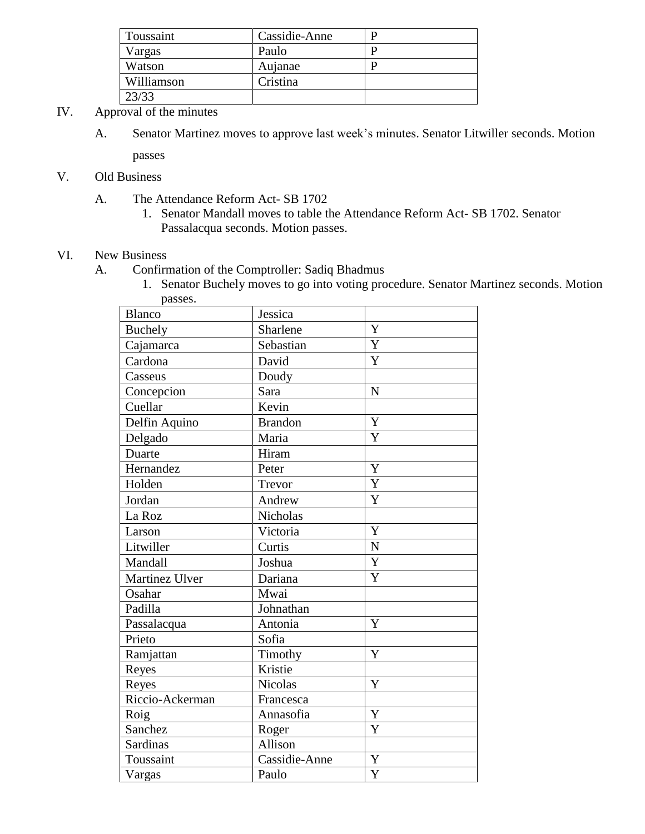| Toussaint  | Cassidie-Anne |  |
|------------|---------------|--|
| Vargas     | Paulo         |  |
| Watson     | Aujanae       |  |
| Williamson | Cristina      |  |
| 23/33      |               |  |

- IV. Approval of the minutes
	- A. Senator Martinez moves to approve last week's minutes. Senator Litwiller seconds. Motion passes

V. Old Business

- A. The Attendance Reform Act- SB 1702
	- 1. Senator Mandall moves to table the Attendance Reform Act- SB 1702. Senator Passalacqua seconds. Motion passes.

## VI. New Business

- A. Confirmation of the Comptroller: Sadiq Bhadmus
	- 1. Senator Buchely moves to go into voting procedure. Senator Martinez seconds. Motion passes.

| aussus.         |                |                |
|-----------------|----------------|----------------|
| Blanco          | Jessica        |                |
| <b>Buchely</b>  | Sharlene       | Y              |
| Cajamarca       | Sebastian      | Y              |
| Cardona         | David          | Y              |
| Casseus         | Doudy          |                |
| Concepcion      | Sara           | $\overline{N}$ |
| Cuellar         | Kevin          |                |
| Delfin Aquino   | <b>Brandon</b> | $\bar{Y}$      |
| Delgado         | Maria          | Y              |
| Duarte          | Hiram          |                |
| Hernandez       | Peter          | Y              |
| Holden          | Trevor         | $\overline{Y}$ |
| Jordan          | Andrew         | Y              |
| La Roz          | Nicholas       |                |
| Larson          | Victoria       | Y              |
| Litwiller       | Curtis         | $\overline{N}$ |
| Mandall         | Joshua         | Y              |
| Martinez Ulver  | Dariana        | Y              |
| Osahar          | Mwai           |                |
| Padilla         | Johnathan      |                |
| Passalacqua     | Antonia        | $\mathbf Y$    |
| Prieto          | Sofia          |                |
| Ramjattan       | Timothy        | Y              |
| Reyes           | Kristie        |                |
| Reyes           | <b>Nicolas</b> | Y              |
| Riccio-Ackerman | Francesca      |                |
| Roig            | Annasofia      | Y              |
| Sanchez         | Roger          | Y              |
| Sardinas        | Allison        |                |
| Toussaint       | Cassidie-Anne  | Y              |
| Vargas          | Paulo          | $\overline{Y}$ |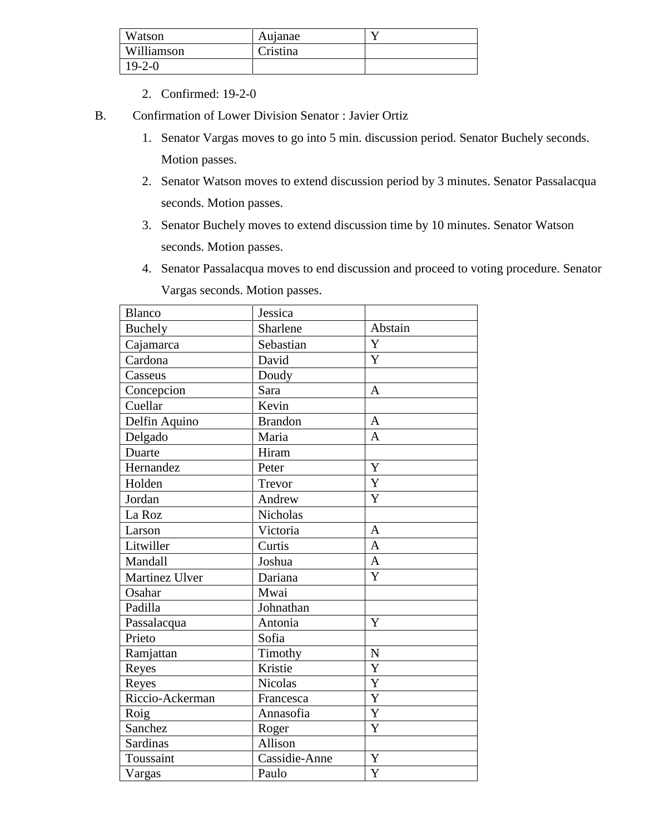| Watson       | Aujanae  |  |
|--------------|----------|--|
| Williamson   | Cristina |  |
| $19 - 2 - 0$ |          |  |

- 2. Confirmed: 19-2-0
- B. Confirmation of Lower Division Senator : Javier Ortiz
	- 1. Senator Vargas moves to go into 5 min. discussion period. Senator Buchely seconds. Motion passes.
	- 2. Senator Watson moves to extend discussion period by 3 minutes. Senator Passalacqua seconds. Motion passes.
	- 3. Senator Buchely moves to extend discussion time by 10 minutes. Senator Watson seconds. Motion passes.
	- 4. Senator Passalacqua moves to end discussion and proceed to voting procedure. Senator Vargas seconds. Motion passes.

| <b>Blanco</b>   | Jessica         |                           |
|-----------------|-----------------|---------------------------|
| <b>Buchely</b>  | Sharlene        | Abstain                   |
| Cajamarca       | Sebastian       | Y                         |
| Cardona         | David           | Y                         |
| Casseus         | Doudy           |                           |
| Concepcion      | Sara            | A                         |
| Cuellar         | Kevin           |                           |
| Delfin Aquino   | <b>Brandon</b>  | $\mathbf{A}$              |
| Delgado         | Maria           | $\overline{A}$            |
| Duarte          | Hiram           |                           |
| Hernandez       | Peter           | $\overline{Y}$            |
| Holden          | Trevor          | $\overline{Y}$            |
| Jordan          | Andrew          | Y                         |
| La Roz          | <b>Nicholas</b> |                           |
| Larson          | Victoria        | $\mathbf{A}$              |
| Litwiller       | Curtis          | $\overline{A}$            |
| Mandall         | Joshua          | $\overline{A}$            |
| Martinez Ulver  | Dariana         | Y                         |
| Osahar          | Mwai            |                           |
| Padilla         | Johnathan       |                           |
| Passalacqua     | Antonia         | Y                         |
| Prieto          | Sofia           |                           |
| Ramjattan       | Timothy         | ${\bf N}$                 |
| Reyes           | Kristie         | $\overline{\overline{Y}}$ |
| Reyes           | <b>Nicolas</b>  | Y                         |
| Riccio-Ackerman | Francesca       | Y                         |
| Roig            | Annasofia       | Y                         |
| Sanchez         | Roger           | Y                         |
| Sardinas        | Allison         |                           |
| Toussaint       | Cassidie-Anne   | $\overline{Y}$            |
| Vargas          | Paulo           | Y                         |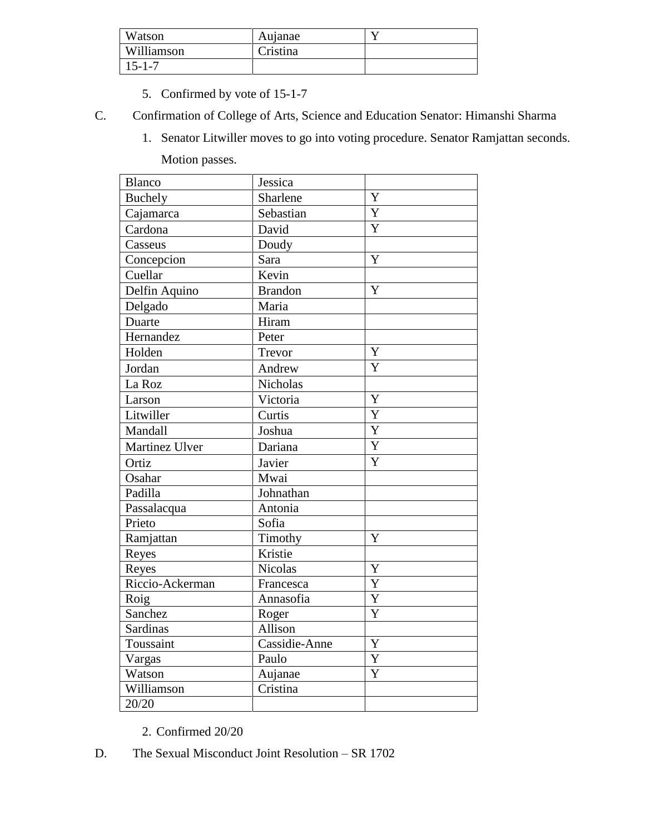| Watson      | Aujanae  |  |
|-------------|----------|--|
| Williamson  | Cristina |  |
| $5 - 1 - 7$ |          |  |

- 5. Confirmed by vote of 15-1-7
- C. Confirmation of College of Arts, Science and Education Senator: Himanshi Sharma
	- 1. Senator Litwiller moves to go into voting procedure. Senator Ramjattan seconds.

Motion passes.

| <b>Blanco</b>   | Jessica        |                           |
|-----------------|----------------|---------------------------|
| <b>Buchely</b>  | Sharlene       | Y                         |
| Cajamarca       | Sebastian      | $\overline{Y}$            |
| Cardona         | David          | Y                         |
| Casseus         | Doudy          |                           |
| Concepcion      | Sara           | $\overline{Y}$            |
| Cuellar         | Kevin          |                           |
| Delfin Aquino   | <b>Brandon</b> | $\overline{\overline{Y}}$ |
| Delgado         | Maria          |                           |
| Duarte          | Hiram          |                           |
| Hernandez       | Peter          |                           |
| Holden          | Trevor         | Y                         |
| Jordan          | Andrew         | Y                         |
| La Roz          | Nicholas       |                           |
| Larson          | Victoria       | Y                         |
| Litwiller       | Curtis         | Y                         |
| Mandall         | Joshua         | Y                         |
| Martinez Ulver  | Dariana        | $\overline{Y}$            |
| Ortiz           | Javier         | Y                         |
| Osahar          | Mwai           |                           |
| Padilla         | Johnathan      |                           |
| Passalacqua     | Antonia        |                           |
| Prieto          | Sofia          |                           |
| Ramjattan       | Timothy        | Y                         |
| Reyes           | Kristie        |                           |
| Reyes           | <b>Nicolas</b> | $\overline{\text{Y}}$     |
| Riccio-Ackerman | Francesca      | Y                         |
| Roig            | Annasofia      | $\overline{Y}$            |
| Sanchez         | Roger          | Y                         |
| <b>Sardinas</b> | Allison        |                           |
| Toussaint       | Cassidie-Anne  | Y                         |
| Vargas          | Paulo          | Y                         |
| Watson          | Aujanae        | $\overline{Y}$            |
| Williamson      | Cristina       |                           |
| 20/20           |                |                           |

- 2. Confirmed 20/20
- D. The Sexual Misconduct Joint Resolution SR 1702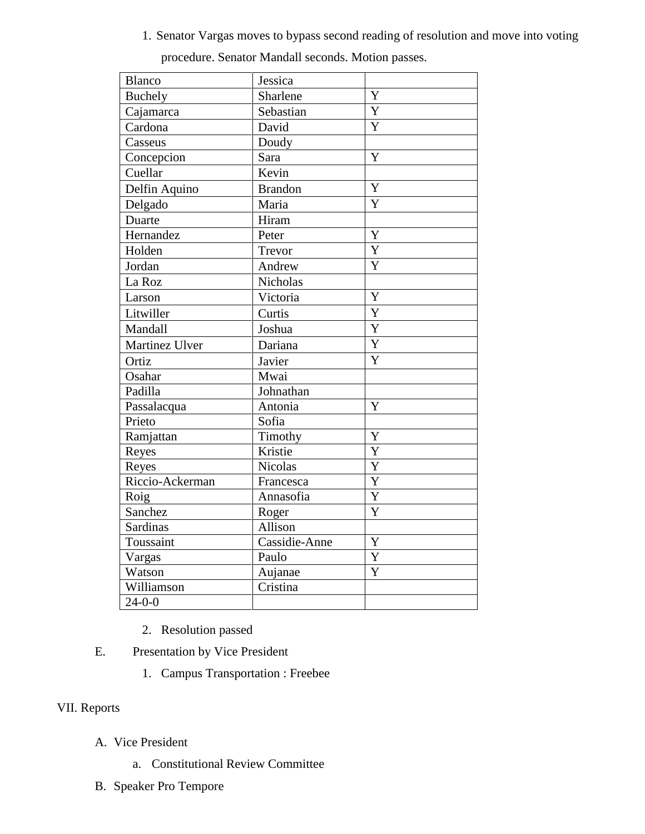1. Senator Vargas moves to bypass second reading of resolution and move into voting

| <b>Blanco</b>   | Jessica        |                       |
|-----------------|----------------|-----------------------|
| Buchely         | Sharlene       | Y                     |
| Cajamarca       | Sebastian      | Y                     |
| Cardona         | David          | Y                     |
| Casseus         | Doudy          |                       |
| Concepcion      | Sara           | Y                     |
| Cuellar         | Kevin          |                       |
| Delfin Aquino   | <b>Brandon</b> | Y                     |
| Delgado         | Maria          | Y                     |
| Duarte          | Hiram          |                       |
| Hernandez       | Peter          | Y                     |
| Holden          | Trevor         | $\overline{Y}$        |
| Jordan          | Andrew         | Y                     |
| La Roz          | Nicholas       |                       |
| Larson          | Victoria       | Y                     |
| Litwiller       | Curtis         | $\overline{Y}$        |
| Mandall         | Joshua         | $\overline{Y}$        |
| Martinez Ulver  | Dariana        | $\overline{Y}$        |
| Ortiz           | Javier         | Y                     |
| Osahar          | Mwai           |                       |
| Padilla         | Johnathan      |                       |
| Passalacqua     | Antonia        | Y                     |
| Prieto          | Sofia          |                       |
| Ramjattan       | Timothy        | Y                     |
| Reyes           | Kristie        | Y                     |
| Reyes           | <b>Nicolas</b> | $\overline{Y}$        |
| Riccio-Ackerman | Francesca      | $\overline{Y}$        |
| Roig            | Annasofia      | $\overline{\text{Y}}$ |
| Sanchez         | Roger          | Y                     |
| Sardinas        | Allison        |                       |
| Toussaint       | Cassidie-Anne  | Y                     |
| Vargas          | Paulo          | Y                     |
| Watson          | Aujanae        | Y                     |
| Williamson      | Cristina       |                       |
| $24 - 0 - 0$    |                |                       |

procedure. Senator Mandall seconds. Motion passes.

- 2. Resolution passed
- E. Presentation by Vice President
	- 1. Campus Transportation : Freebee

## VII. Reports

- A. Vice President
	- a. Constitutional Review Committee
- B. Speaker Pro Tempore